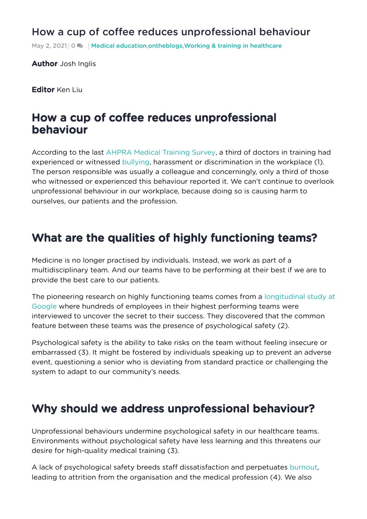#### How a cup of coffee reduces [unprofessional](https://onthewards.org/how-a-cup-of-coffee-reduces-unprofessional-behaviour/) behaviour

May 2, 2021 0 **A** | Medical [education](https://onthewards.org/category/medical-education/), [ontheblogs](https://onthewards.org/category/blogs/), Working & training in [healthcare](https://onthewards.org/category/working-training-in-healthcare/)

**Author** Josh Inglis

Editor Ken Liu

#### How a cup of coffee reduces unprofessional behaviour

According to the last AHPRA Medical [Training](https://medicaltrainingsurvey.gov.au/News/Article/2020-medical-training-survey-results-are-now-available) Survey, a third of doctors in training had experienced or witnessed [bullying,](https://onthewards.org/the-dark-art-of-bullying/) harassment or discrimination in the workplace (1). The person responsible was usually a colleague and concerningly, only a third of those who witnessed or experienced this behaviour reported it. We can't continue to overlook unprofessional behaviour in our workplace, because doing so is causing harm to ourselves, our patients and the profession.

## What are the qualities of highly functioning teams?

Medicine is no longer practised by individuals. Instead, we work as part of a multidisciplinary team. And our teams have to be performing at their best if we are to provide the best care to our patients.

The pioneering research on highly functioning teams comes from a [longitudinal](https://rework.withgoogle.com/blog/five-keys-to-a-successful-google-team/) study at Google where hundreds of employees in their highest performing teams were interviewed to uncover the secret to their success. They discovered that the common feature between these teams was the presence of psychological safety (2).

Psychological safety is the ability to take risks on the team without feeling insecure or embarrassed (3). It might be fostered by individuals speaking up to prevent an adverse event, questioning a senior who is deviating from standard practice or challenging the system to adapt to our community's needs.

## Why should we address unprofessional behaviour?

Unprofessional behaviours undermine psychological safety in our healthcare teams. Environments without psychological safety have less learning and this threatens our desire for high-quality medical training (3).

A lack of psychological safety breeds staff dissatisfaction and perpetuates [burnout](https://onthewards.org/burnout-junior-doctors/), leading to attrition from the organisation and the medical profession (4). We also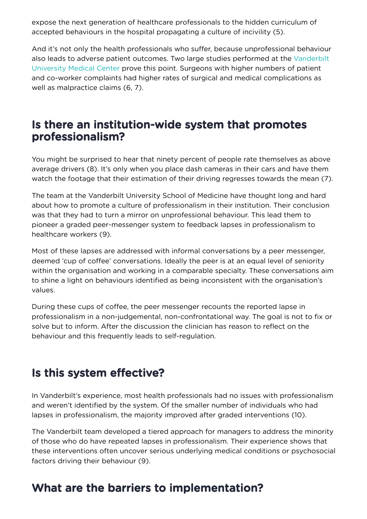expose the next generation of healthcare professionals to the hidden curriculum of accepted behaviours in the hospital propagating a culture of incivility (5).

And it's not only the health professionals who suffer, because unprofessional behaviour also leads to adverse patient outcomes. Two large studies [performed](https://www.vumc.org/main/home) at the Vanderbilt University Medical Center prove this point. Surgeons with higher numbers of patient and co-worker complaints had higher rates of surgical and medical complications as well as malpractice claims (6, 7).

#### Is there an institution-wide system that promotes professionalism?

You might be surprised to hear that ninety percent of people rate themselves as above average drivers (8). It's only when you place dash cameras in their cars and have them watch the footage that their estimation of their driving regresses towards the mean (7).

The team at the Vanderbilt University School of Medicine have thought long and hard about how to promote a culture of professionalism in their institution. Their conclusion was that they had to turn a mirror on unprofessional behaviour. This lead them to pioneer a graded peer-messenger system to feedback lapses in professionalism to healthcare workers (9).

Most of these lapses are addressed with informal conversations by a peer messenger, deemed 'cup of coffee' conversations. Ideally the peer is at an equal level of seniority within the organisation and working in a comparable specialty. These conversations aim to shine a light on behaviours identified as being inconsistent with the organisation's values.

During these cups of coffee, the peer messenger recounts the reported lapse in professionalism in a non-judgemental, non-confrontational way. The goal is not to fix or solve but to inform. After the discussion the clinician has reason to reflect on the behaviour and this frequently leads to self-regulation.

## Is this system effective?

In Vanderbilt's experience, most health professionals had no issues with professionalism and weren't identified by the system. Of the smaller number of individuals who had lapses in professionalism, the majority improved after graded interventions (10).

The Vanderbilt team developed a tiered approach for managers to address the minority of those who do have repeated lapses in professionalism. Their experience shows that these interventions often uncover serious underlying medical conditions or psychosocial factors driving their behaviour (9).

# What are the barriers to implementation?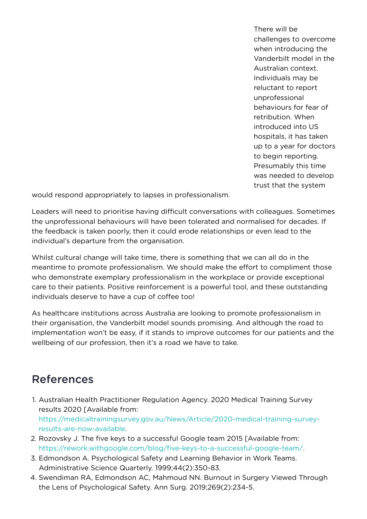There will be challenges to overcome when introducing the Vanderbilt model in the Australian context. Individuals may be reluctant to report unprofessional behaviours for fear of retribution. When introduced into US hospitals, it has taken up to a year for doctors to begin reporting. Presumably this time was needed to develop trust that the system

would respond appropriately to lapses in professionalism.

Leaders will need to prioritise having difficult conversations with colleagues. Sometimes the unprofessional behaviours will have been tolerated and normalised for decades. If the feedback is taken poorly, then it could erode relationships or even lead to the individual's departure from the organisation.

Whilst cultural change will take time, there is something that we can all do in the meantime to promote professionalism. We should make the effort to compliment those who demonstrate exemplary professionalism in the workplace or provide exceptional care to their patients. Positive reinforcement is a powerful tool, and these outstanding individuals deserve to have a cup of coffee too!

As healthcare institutions across Australia are looking to promote professionalism in their organisation, the Vanderbilt model sounds promising. And although the road to implementation won't be easy, if it stands to improve outcomes for our patients and the wellbeing of our profession, then it's a road we have to take.

## References

- 1. Australian Health Practitioner Regulation Agency. 2020 Medical Training Survey results 2020 [Available from: [https://medicaltrainingsurvey.gov.au/News/Article/2020-medical-training-survey](https://medicaltrainingsurvey.gov.au/News/Article/2020-medical-training-survey-results-are-now-available)results-are-now-available.
- 2. Rozovsky J. The five keys to a successful Google team 2015 [Available from: https://rework.withgoogle.com/blog/five-keys-to-a-successful-google-team/.
- 3. Edmondson A. Psychological Safety and Learning Behavior in Work Teams. Administrative Science Quarterly. 1999;44(2):350-83.
- 4. Swendiman RA, Edmondson AC, Mahmoud NN. Burnout in Surgery Viewed Through the Lens of Psychological Safety. Ann Surg. 2019;269(2):234-5.